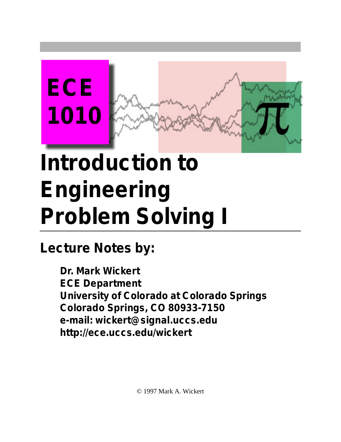

## **Introduction to Engineering Problem Solving I**

**Lecture Notes by:**

**Dr. Mark Wickert ECE Department University of Colorado at Colorado Springs Colorado Springs, CO 80933-7150 e-mail: wickert@signal.uccs.edu http://ece.uccs.edu/wickert**

© 1997 Mark A. Wickert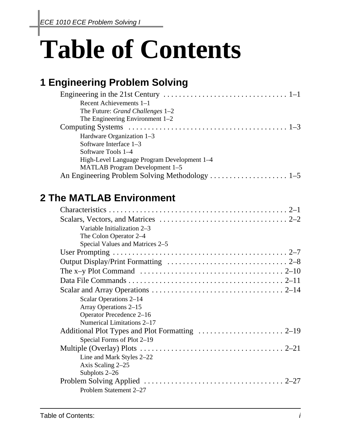# **Table of Contents**

### **1 Engineering Problem Solving**

| Recent Achievements $1-1$                   |
|---------------------------------------------|
| The Future: <i>Grand Challenges</i> 1–2     |
| The Engineering Environment $1-2$           |
|                                             |
| Hardware Organization 1-3                   |
| Software Interface 1-3                      |
| Software Tools 1–4                          |
| High-Level Language Program Development 1-4 |
| MATLAB Program Development 1–5              |
|                                             |

#### **2 The MATLAB Environment**

| Variable Initialization 2–3                                                                                            |  |
|------------------------------------------------------------------------------------------------------------------------|--|
| The Colon Operator 2-4                                                                                                 |  |
| Special Values and Matrices 2–5                                                                                        |  |
|                                                                                                                        |  |
|                                                                                                                        |  |
| The x-y Plot Command $\ldots \ldots \ldots \ldots \ldots \ldots \ldots \ldots \ldots \ldots \ldots \ldots \ldots 2-10$ |  |
|                                                                                                                        |  |
|                                                                                                                        |  |
| Scalar Operations 2–14                                                                                                 |  |
| Array Operations 2–15                                                                                                  |  |
| Operator Precedence 2-16                                                                                               |  |
| Numerical Limitations 2–17                                                                                             |  |
|                                                                                                                        |  |
| Special Forms of Plot 2–19                                                                                             |  |
|                                                                                                                        |  |
| Line and Mark Styles 2–22                                                                                              |  |
| Axis Scaling 2-25                                                                                                      |  |
| Subplots 2-26                                                                                                          |  |
|                                                                                                                        |  |
| Problem Statement 2-27                                                                                                 |  |
|                                                                                                                        |  |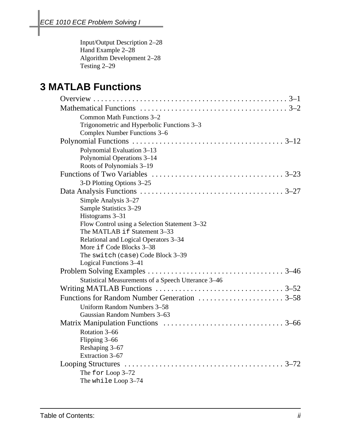Input/Output Description 2–28 Hand Example 2-28 Algorithm Development 2–28 Testing 2–29

#### **3 MATLAB Functions**

| Common Math Functions 3-2                           |
|-----------------------------------------------------|
| Trigonometric and Hyperbolic Functions 3-3          |
| Complex Number Functions 3-6                        |
|                                                     |
| Polynomial Evaluation 3-13                          |
| Polynomial Operations 3-14                          |
| Roots of Polynomials 3-19                           |
|                                                     |
| 3-D Plotting Options 3–25                           |
|                                                     |
| Simple Analysis 3–27                                |
| Sample Statistics 3-29                              |
| Histograms 3-31                                     |
| Flow Control using a Selection Statement 3–32       |
| The MATLAB if Statement 3-33                        |
| Relational and Logical Operators 3–34               |
| More if Code Blocks 3-38                            |
| The switch (case) Code Block 3-39                   |
| Logical Functions 3-41                              |
|                                                     |
| Statistical Measurements of a Speech Utterance 3-46 |
|                                                     |
|                                                     |
| Uniform Random Numbers 3-58                         |
| Gaussian Random Numbers 3-63                        |
|                                                     |
| Rotation 3-66                                       |
| Flipping 3-66                                       |
| Reshaping 3-67                                      |
| Extraction 3-67                                     |
|                                                     |
| The for Loop 3-72                                   |
| The while Loop 3-74                                 |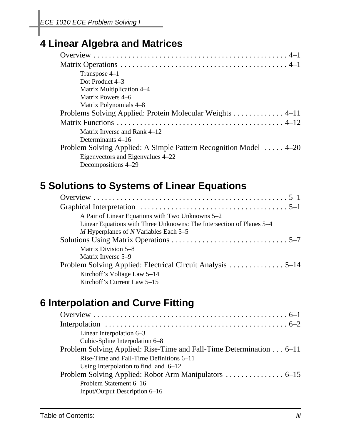#### **4 Linear Algebra and Matrices**

| Transpose 4-1                                                     |
|-------------------------------------------------------------------|
| Dot Product 4–3                                                   |
| Matrix Multiplication 4–4                                         |
| Matrix Powers 4–6                                                 |
| Matrix Polynomials 4–8                                            |
| Problems Solving Applied: Protein Molecular Weights  4–11         |
|                                                                   |
| Matrix Inverse and Rank 4–12                                      |
| Determinants 4–16                                                 |
| Problem Solving Applied: A Simple Pattern Recognition Model  4–20 |
| Eigenvectors and Eigenvalues 4–22                                 |
| Decompositions 4–29                                               |

#### **5 Solutions to Systems of Linear Equations**

| A Pair of Linear Equations with Two Unknowns 5–2                     |
|----------------------------------------------------------------------|
| Linear Equations with Three Unknowns: The Intersection of Planes 5–4 |
| M Hyperplanes of N Variables Each $5-5$                              |
|                                                                      |
| Matrix Division 5–8                                                  |
| Matrix Inverse 5–9                                                   |
|                                                                      |
| Kirchoff's Voltage Law 5–14                                          |
| Kirchoff's Current Law 5–15                                          |

#### **6 Interpolation and Curve Fitting**

| Linear Interpolation $6-3$                                          |
|---------------------------------------------------------------------|
| Cubic-Spline Interpolation 6–8                                      |
| Problem Solving Applied: Rise-Time and Fall-Time Determination 6–11 |
| Rise-Time and Fall-Time Definitions 6–11                            |
| Using Interpolation to find and $6-12$                              |
|                                                                     |
| Problem Statement 6–16                                              |
| Input/Output Description 6–16                                       |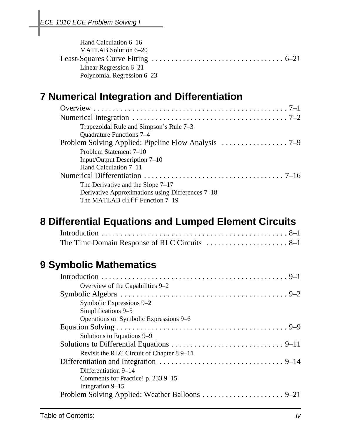| Hand Calculation 6–16      |  |
|----------------------------|--|
| MATLAB Solution 6–20       |  |
|                            |  |
| Linear Regression $6-21$   |  |
| Polynomial Regression 6–23 |  |

#### **7 Numerical Integration and Differentiation**

| Trapezoidal Rule and Simpson's Rule 7–3          |
|--------------------------------------------------|
| Quadrature Functions 7-4                         |
|                                                  |
| Problem Statement 7–10                           |
| Input/Output Description 7–10                    |
| Hand Calculation 7–11                            |
|                                                  |
| The Derivative and the Slope $7-17$              |
| Derivative Approximations using Differences 7–18 |
| The MATLAB diff Function 7-19                    |

#### **8 Differential Equations and Lumped Element Circuits**

#### **9 Symbolic Mathematics**

| Overview of the Capabilities 9–2         |
|------------------------------------------|
|                                          |
| Symbolic Expressions 9–2                 |
| Simplifications 9–5                      |
| Operations on Symbolic Expressions 9–6   |
|                                          |
| Solutions to Equations 9–9               |
|                                          |
| Revisit the RLC Circuit of Chapter 89–11 |
|                                          |
| Differentiation 9–14                     |
| Comments for Practice! p. 233 9–15       |
| Integration 9–15                         |
|                                          |